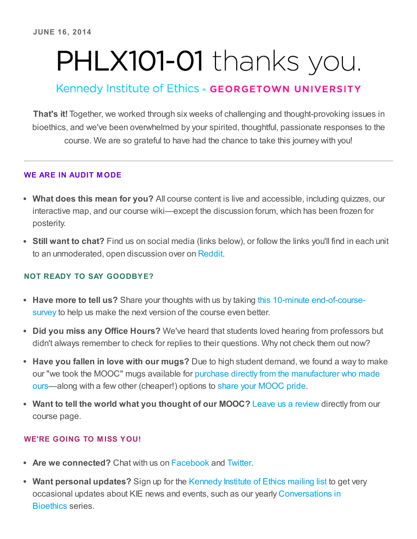# PHLX101-01 thanks you.

# Kennedy Institute of Ethics · GEORGETOWN UNIVERSITY

That's it! Together, we worked through six weeks of challenging and thought-provoking issues in bioethics, and we've been overwhelmed by your spirited, thoughtful, passionate responses to the course. We are so grateful to have had the chance to take this journey with you!

### WE ARE IN AUDIT M ODE

- What does this mean for you? All course content is live and accessible, including quizzes, our interactive map, and our course wiki—except the discussion forum, which has been frozen for posterity.
- Still want to chat? Find us on social media (links below), or follow the links you'll find in each unit to an unmoderated, open discussion over on [Reddit.](http://www.reddit.com/r/BioethicsMOOC/)

## NOT READY TO SAY GOODBYE?

- Have more to tell us? Share your thoughts with us by taking this 10-minute [end-of-course](https://oadsgeorgetown.qualtrics.com/SE/?SID=SV_0qa57Iwf9MCM1eJ)survey to help us make the next version of the course even better.
- Did you miss any Office Hours? We've heard that students loved hearing from professors but didn't always remember to check for replies to their questions. Why not check them out now?
- Have you fallen in love with our mugs? Due to high student demand, we found a way to make our "we took the MOOC" mugs available for purchase directly from the [manufacturer](http://making-the-mooc.org/post/88577219576/mooc-mugs-have-arrived) who made ours—along with a few other (cheaper!) options to share your [MOOC](http://www.zazzle.com/kennedyinstethics*) pride.
- Want to tell the world what you thought of our MOOC? Leave us a [review](https://www.edx.org/course/georgetownx/georgetownx-phlx101-01-introduction-811#.U58FyxYQvud) directly from our course page.

## WE'RE GOING TO MISS YOU!

- Are we connected? Chat with us on [Facebook](https://www.facebook.com/KennedyInstituteofEthics/) and [Twitter](https://twitter.com/kieatgu/).
- Want personal updates? Sign up for the [Kennedy](http://www.conversationsinbioethics.org/contact/) Institute of Ethics mailing list to get very occasional updates about KIE news and events, such as our yearly [Conversations](http://www.conversationsinbioethics.org/) in Bioethics series.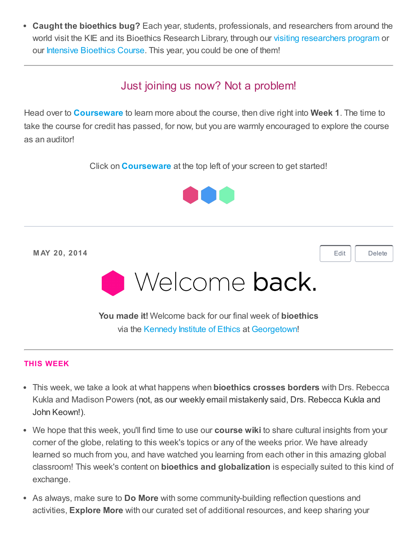• Caught the bioethics bug? Each year, students, professionals, and researchers from around the world visit the KIE and its Bioethics Research Library, through our visiting [researchers](https://kennedyinstitute.georgetown.edu/programs/visitingresearchers-apply.cfm.html) program or our Intensive [Bioethics](http://ibc40.org/) Course. This year, you could be one of them!

## Just joining us now? Not a problem!

Head over to **[Courseware](https://courses.edx.org/courses/GeorgetownX/phlx101-01/1T2014/courseware/)** to learn more about the course, then dive right into **Week 1**. The time to take the course for credit has passed, for now, but you are warmly encouraged to explore the course as an auditor!

Click on **[Courseware](https://courses.edx.org/courses/GeorgetownX/phlx101-01/1T2014/courseware/)** at the top left of your screen to get started!



M AY 20, 2014

[Edit](https://studio.edx.org/course_info/GeorgetownX/phlx101-01/1T2014#) | [Delete](https://studio.edx.org/course_info/GeorgetownX/phlx101-01/1T2014#)



You made it! Welcome back for our final week of **bioethics** via the [Kennedy](http://kennedyinstitute.georgetown.edu/) Institute of Ethics at [Georgetown!](http://georgetown.edu/)

#### THIS WEEK

- This week, we take a look at what happens when **bioethics crosses borders** with Drs. Rebecca Kukla and Madison Powers (not, as our weekly email mistakenly said, Drs. Rebecca Kukla and John Keown!).
- We hope that this week, you'll find time to use our **course wiki** to share cultural insights from your corner of the globe, relating to this week's topics or any of the weeks prior. We have already learned so much from you, and have watched you learning from each other in this amazing global classroom! This week's content on bioethics and globalization is especially suited to this kind of exchange.
- As always, make sure to **Do More** with some community-building reflection questions and activities, Explore More with our curated set of additional resources, and keep sharing your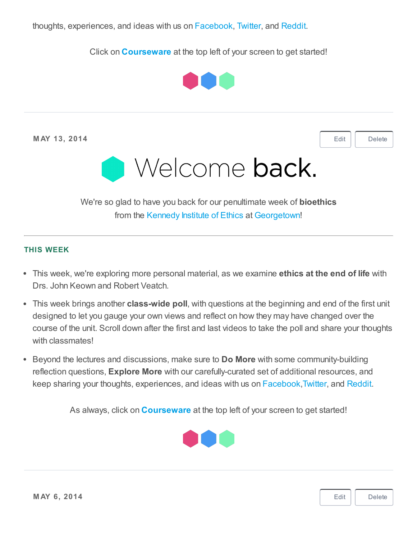Click on **[Courseware](https://courses.edx.org/courses/GeorgetownX/phlx101-01/1T2014/courseware/)** at the top left of your screen to get started!



M AY 13, 2014

[Edit](https://studio.edx.org/course_info/GeorgetownX/phlx101-01/1T2014#) | [Delete](https://studio.edx.org/course_info/GeorgetownX/phlx101-01/1T2014#)



We're so glad to have you back for our penultimate week of **bioethics** from the [Kennedy](http://kennedyinstitute.georgetown.edu/) Institute of Ethics at [Georgetown!](http://georgetown.edu/)

#### THIS WEEK

- This week, we're exploring more personal material, as we examine ethics at the end of life with Drs. John Keown and Robert Veatch.
- This week brings another class-wide poll, with questions at the beginning and end of the first unit designed to let you gauge your own views and reflect on how they may have changed over the course of the unit. Scroll down after the first and last videos to take the poll and share your thoughts with classmates!
- Beyond the lectures and discussions, make sure to **Do More** with some community-building reflection questions, Explore More with our carefully-curated set of additional resources, and keep sharing your thoughts, experiences, and ideas with us on [Facebook](https://www.facebook.com/KennedyInstituteofEthics/)[,Twitter,](https://twitter.com/BioethicsMOOC/) and [Reddit.](http://www.reddit.com/r/BioethicsMOOC/)

As always, click on **[Courseware](https://courses.edx.org/courses/GeorgetownX/phlx101-01/1T2014/courseware/)** at the top left of your screen to get started!



[Edit](https://studio.edx.org/course_info/GeorgetownX/phlx101-01/1T2014#) [Delete](https://studio.edx.org/course_info/GeorgetownX/phlx101-01/1T2014#)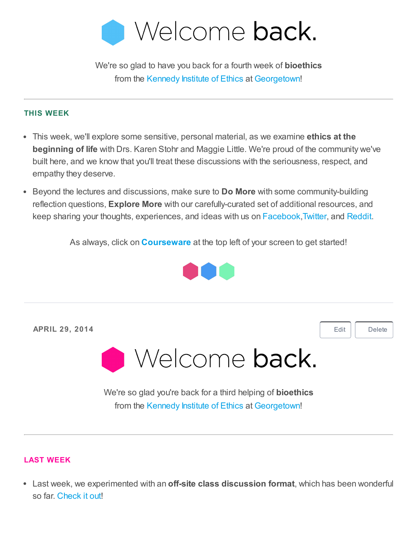

We're so glad to have you back for a fourth week of **bioethics** from the [Kennedy](http://kennedyinstitute.georgetown.edu/) Institute of Ethics at [Georgetown!](http://georgetown.edu/)

#### THIS WEEK

- This week, we'll explore some sensitive, personal material, as we examine ethics at the beginning of life with Drs. Karen Stohr and Maggie Little. We're proud of the community we've built here, and we know that you'll treat these discussions with the seriousness, respect, and empathy they deserve.
- Beyond the lectures and discussions, make sure to Do More with some community-building reflection questions, Explore More with our carefully-curated set of additional resources, and keep sharing your thoughts, experiences, and ideas with us on [Facebook](https://www.facebook.com/KennedyInstituteofEthics/)[,Twitter,](https://twitter.com/BioethicsMOOC/) and [Reddit.](http://www.reddit.com/r/BioethicsMOOC/)

As always, click on **[Courseware](https://courses.edx.org/courses/GeorgetownX/phlx101-01/1T2014/courseware/)** at the top left of your screen to get started!



APRIL 29, 2014 [Edit](https://studio.edx.org/course_info/GeorgetownX/phlx101-01/1T2014#) | [Delete](https://studio.edx.org/course_info/GeorgetownX/phlx101-01/1T2014#) Welcome back. We're so glad you're back for a third helping of **bioethics** from the [Kennedy](http://kennedyinstitute.georgetown.edu/) Institute of Ethics at [Georgetown!](http://georgetown.edu/)

#### LAST WEEK

• Last week, we experimented with an **off-site class discussion format**, which has been wonderful so far. [Check](http://www.reddit.com/r/BioethicsMOOC/) it out!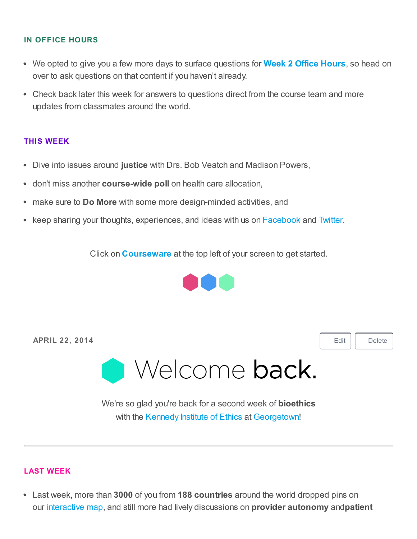#### IN OFFICE HOURS

- We opted to give you a few more days to surface questions for Week 2 Office [Hours](https://studio.edx.org/course_info/GeorgetownX/phlx101-01/1T2014), so head on over to ask questions on that content if you haven't already.
- Check back later this week for answers to questions direct from the course team and more updates from classmates around the world.

#### THIS WEEK

- Dive into issues around justice with Drs. Bob Veatch and Madison Powers,
- don't miss another course-wide poll on health care allocation,
- make sure to **Do More** with some more design-minded activities, and
- keep sharing your thoughts, experiences, and ideas with us on [Facebook](https://www.facebook.com/KennedyInstituteofEthics/) and [Twitter](https://twitter.com/BioethicsMOOC/).

Click on **[Courseware](https://courses.edx.org/courses/GeorgetownX/phlx101-01/1T2014/courseware/)** at the top left of your screen to get started.



| <b>APRIL 22, 2014</b>                                                                                                  | Edit | Delete |
|------------------------------------------------------------------------------------------------------------------------|------|--------|
| <b>O</b> Welcome back.                                                                                                 |      |        |
| We're so glad you're back for a second week of <b>bioethics</b><br>with the Kennedy Institute of Ethics at Georgetown! |      |        |

#### LAST WEEK

• Last week, more than 3000 of you from 188 countries around the world dropped pins on our [interactive](https://courses.edx.org/courses/GeorgetownX/phlx101-01/1T2014/8bfe87399d704cf88dd206577612509a/) map, and still more had lively discussions on **provider autonomy** and patient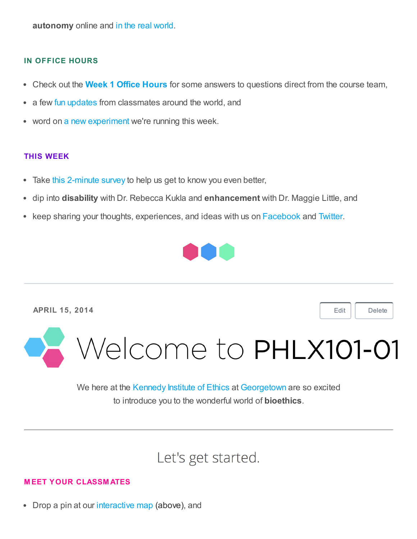autonomy online and in the real [world.](https://courses.edx.org/courses/GeorgetownX/phlx101-01/1T2014/courseware/85b6fcc9043741359204925dc14df35d/07da5a6f9fd74884b5ff8c9df86f52f2/5)

#### IN OFFICE HOURS

- Check out the **Week 1 Office [Hours](https://courses.edx.org/courses/GeorgetownX/phlx101-01/1T2014/courseware/85b6fcc9043741359204925dc14df35d/07da5a6f9fd74884b5ff8c9df86f52f2/)** for some answers to questions direct from the course team,
- a few fun [updates](https://courses.edx.org/courses/GeorgetownX/phlx101-01/1T2014/courseware/85b6fcc9043741359204925dc14df35d/07da5a6f9fd74884b5ff8c9df86f52f2/5) from classmates around the world, and
- word on a new [experiment](http://www.reddit.com/r/BioethicsMOOC/) we're running this week.

#### THIS WEEK

- Take this [2-minute](https://oadsgeorgetown.qualtrics.com/SE/?SID=SV_9GZrrhLEkvfxUq1) survey to help us get to know you even better,  $\bullet$
- dip into disability with Dr. Rebecca Kukla and enhancement with Dr. Maggie Little, and  $\bullet$
- keep sharing your thoughts, experiences, and ideas with us on [Facebook](https://www.facebook.com/KennedyInstituteofEthics/) and [Twitter](https://twitter.com/BioethicsMOOC/).



APRIL 15, 2014

[Edit](https://studio.edx.org/course_info/GeorgetownX/phlx101-01/1T2014#) | [Delete](https://studio.edx.org/course_info/GeorgetownX/phlx101-01/1T2014#)

Welcome to PHLX101-01

We here at the [Kennedy](http://kennedyinstitute.georgetown.edu/) Institute of Ethics at [Georgetown](http://georgetown.edu/) are so excited to introduce you to the wonderful world of bioethics.

# Let's get started.

#### M EET YOUR CLASSM ATES

• Drop a pin at our [interactive](https://courses.edx.org/courses/GeorgetownX/phlx101-01/1T2014/8bfe87399d704cf88dd206577612509a/) map (above), and